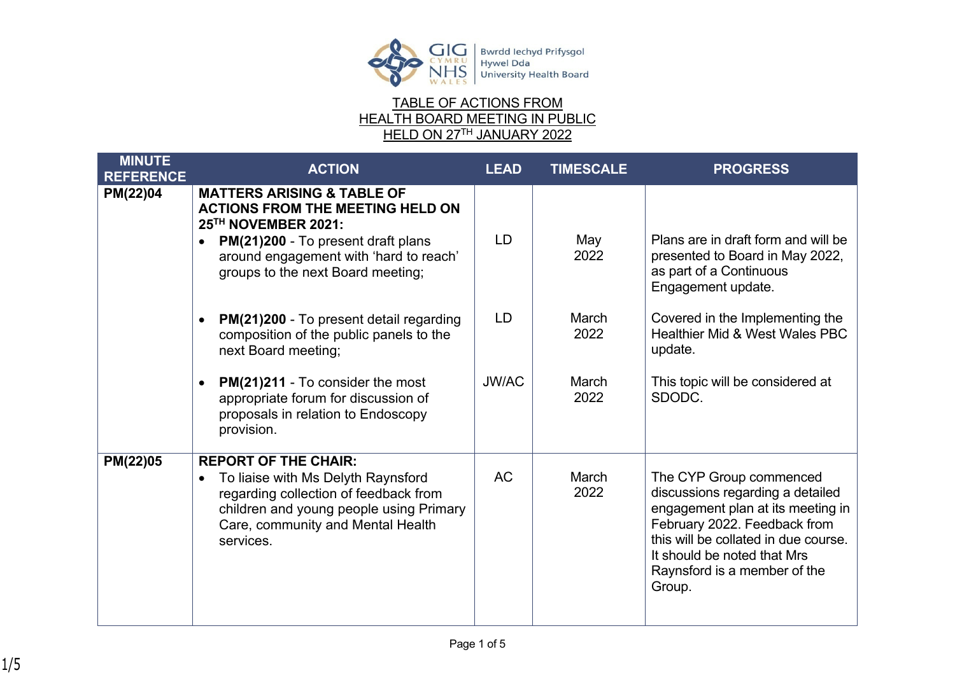

## TABLE OF ACTIONS FROM HEALTH BOARD MEETING IN PUBLIC HELD ON 27TH JANUARY 2022

| <b>MINUTE</b><br><b>REFERENCE</b> | <b>ACTION</b>                                                                                                                                                                                                                                    | <b>LEAD</b>  | <b>TIMESCALE</b> | <b>PROGRESS</b>                                                                                                                                                                                                                                   |
|-----------------------------------|--------------------------------------------------------------------------------------------------------------------------------------------------------------------------------------------------------------------------------------------------|--------------|------------------|---------------------------------------------------------------------------------------------------------------------------------------------------------------------------------------------------------------------------------------------------|
| PM(22)04                          | <b>MATTERS ARISING &amp; TABLE OF</b><br><b>ACTIONS FROM THE MEETING HELD ON</b><br>25TH NOVEMBER 2021:<br><b>PM(21)200 - To present draft plans</b><br>$\bullet$<br>around engagement with 'hard to reach'<br>groups to the next Board meeting; | <b>LD</b>    | May<br>2022      | Plans are in draft form and will be<br>presented to Board in May 2022,<br>as part of a Continuous<br>Engagement update.                                                                                                                           |
|                                   | PM(21)200 - To present detail regarding<br>composition of the public panels to the<br>next Board meeting;                                                                                                                                        | <b>LD</b>    | March<br>2022    | Covered in the Implementing the<br><b>Healthier Mid &amp; West Wales PBC</b><br>update.                                                                                                                                                           |
|                                   | PM(21)211 - To consider the most<br>appropriate forum for discussion of<br>proposals in relation to Endoscopy<br>provision.                                                                                                                      | <b>JW/AC</b> | March<br>2022    | This topic will be considered at<br>SDODC.                                                                                                                                                                                                        |
| PM(22)05                          | <b>REPORT OF THE CHAIR:</b><br>To liaise with Ms Delyth Raynsford<br>$\bullet$<br>regarding collection of feedback from<br>children and young people using Primary<br>Care, community and Mental Health<br>services.                             | <b>AC</b>    | March<br>2022    | The CYP Group commenced<br>discussions regarding a detailed<br>engagement plan at its meeting in<br>February 2022. Feedback from<br>this will be collated in due course.<br>It should be noted that Mrs<br>Raynsford is a member of the<br>Group. |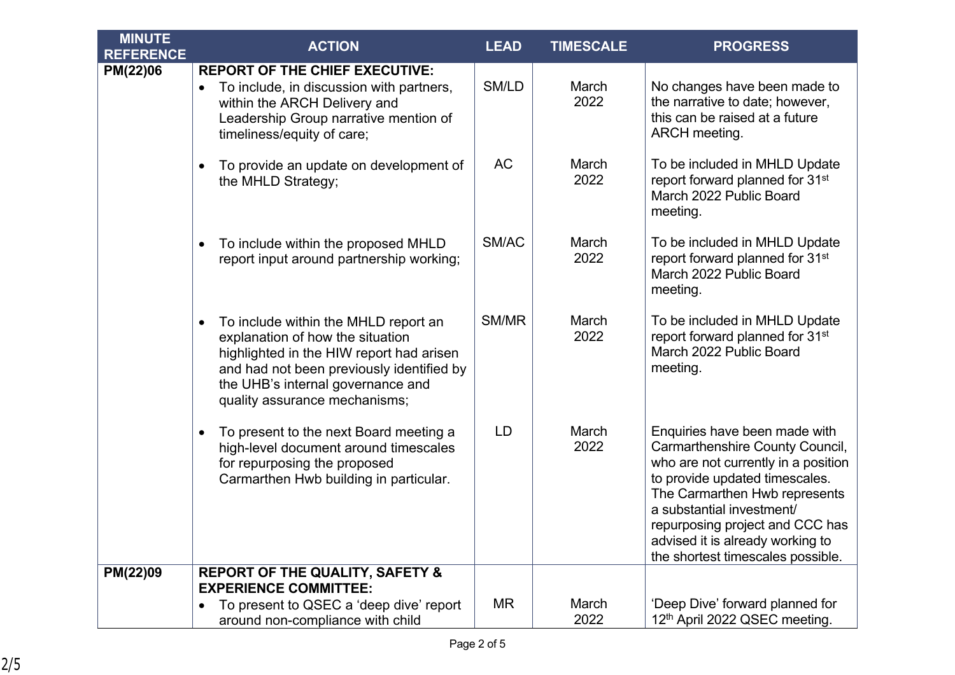| <b>MINUTE</b><br><b>REFERENCE</b> | <b>ACTION</b>                                                                                                                                                                                                                                        | <b>LEAD</b> | <b>TIMESCALE</b> | <b>PROGRESS</b>                                                                                                                                                                                                                                                                                                     |
|-----------------------------------|------------------------------------------------------------------------------------------------------------------------------------------------------------------------------------------------------------------------------------------------------|-------------|------------------|---------------------------------------------------------------------------------------------------------------------------------------------------------------------------------------------------------------------------------------------------------------------------------------------------------------------|
| PM(22)06                          | <b>REPORT OF THE CHIEF EXECUTIVE:</b><br>To include, in discussion with partners,<br>$\bullet$<br>within the ARCH Delivery and<br>Leadership Group narrative mention of<br>timeliness/equity of care;                                                | SM/LD       | March<br>2022    | No changes have been made to<br>the narrative to date; however,<br>this can be raised at a future<br>ARCH meeting.                                                                                                                                                                                                  |
|                                   | To provide an update on development of<br>$\bullet$<br>the MHLD Strategy;                                                                                                                                                                            | AC          | March<br>2022    | To be included in MHLD Update<br>report forward planned for 31 <sup>st</sup><br>March 2022 Public Board<br>meeting.                                                                                                                                                                                                 |
|                                   | To include within the proposed MHLD<br>$\bullet$<br>report input around partnership working;                                                                                                                                                         | SM/AC       | March<br>2022    | To be included in MHLD Update<br>report forward planned for 31 <sup>st</sup><br>March 2022 Public Board<br>meeting.                                                                                                                                                                                                 |
|                                   | To include within the MHLD report an<br>$\bullet$<br>explanation of how the situation<br>highlighted in the HIW report had arisen<br>and had not been previously identified by<br>the UHB's internal governance and<br>quality assurance mechanisms; | SM/MR       | March<br>2022    | To be included in MHLD Update<br>report forward planned for 31 <sup>st</sup><br>March 2022 Public Board<br>meeting.                                                                                                                                                                                                 |
|                                   | To present to the next Board meeting a<br>$\bullet$<br>high-level document around timescales<br>for repurposing the proposed<br>Carmarthen Hwb building in particular.                                                                               | LD          | March<br>2022    | Enquiries have been made with<br>Carmarthenshire County Council,<br>who are not currently in a position<br>to provide updated timescales.<br>The Carmarthen Hwb represents<br>a substantial investment/<br>repurposing project and CCC has<br>advised it is already working to<br>the shortest timescales possible. |
| PM(22)09                          | <b>REPORT OF THE QUALITY, SAFETY &amp;</b><br><b>EXPERIENCE COMMITTEE:</b>                                                                                                                                                                           |             |                  |                                                                                                                                                                                                                                                                                                                     |
|                                   | To present to QSEC a 'deep dive' report<br>$\bullet$<br>around non-compliance with child                                                                                                                                                             | ΜR          | March<br>2022    | 'Deep Dive' forward planned for<br>12th April 2022 QSEC meeting.                                                                                                                                                                                                                                                    |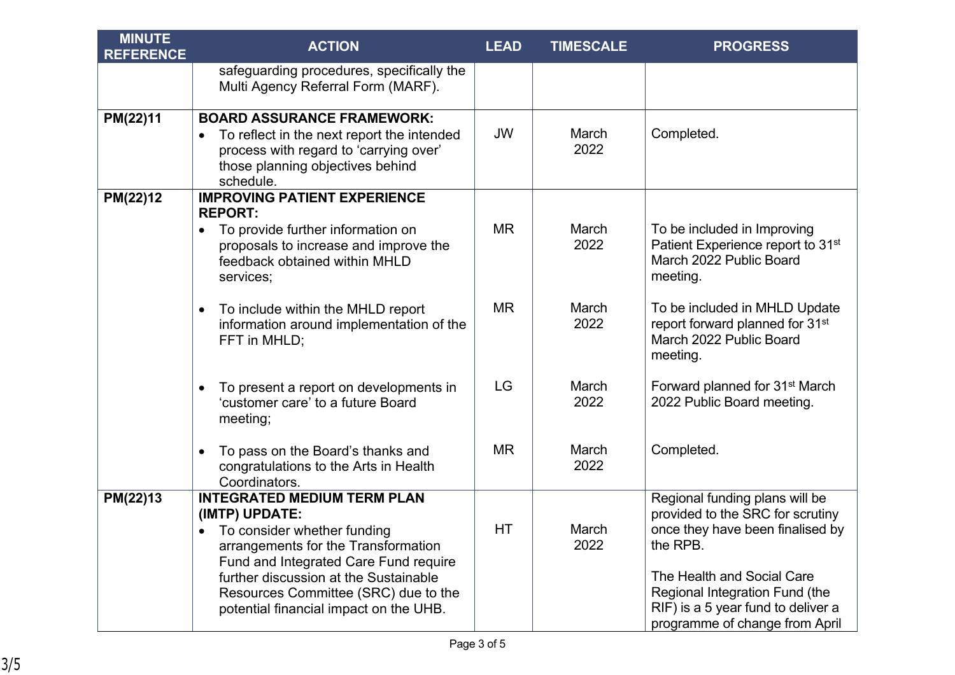| <b>MINUTE</b><br><b>REFERENCE</b> | <b>ACTION</b>                                                                                                                                                                                                                                                                                  | <b>LEAD</b> | <b>TIMESCALE</b> | <b>PROGRESS</b>                                                                                                                                                                                                                                            |
|-----------------------------------|------------------------------------------------------------------------------------------------------------------------------------------------------------------------------------------------------------------------------------------------------------------------------------------------|-------------|------------------|------------------------------------------------------------------------------------------------------------------------------------------------------------------------------------------------------------------------------------------------------------|
|                                   | safeguarding procedures, specifically the<br>Multi Agency Referral Form (MARF).                                                                                                                                                                                                                |             |                  |                                                                                                                                                                                                                                                            |
| PM(22)11                          | <b>BOARD ASSURANCE FRAMEWORK:</b><br>To reflect in the next report the intended<br>$\bullet$<br>process with regard to 'carrying over'<br>those planning objectives behind<br>schedule.                                                                                                        | <b>JW</b>   | March<br>2022    | Completed.                                                                                                                                                                                                                                                 |
| PM(22)12                          | <b>IMPROVING PATIENT EXPERIENCE</b><br><b>REPORT:</b><br>To provide further information on<br>$\bullet$<br>proposals to increase and improve the<br>feedback obtained within MHLD<br>services;                                                                                                 | <b>MR</b>   | March<br>2022    | To be included in Improving<br>Patient Experience report to 31 <sup>st</sup><br>March 2022 Public Board<br>meeting.                                                                                                                                        |
|                                   | To include within the MHLD report<br>$\bullet$<br>information around implementation of the<br>FFT in MHLD;                                                                                                                                                                                     | <b>MR</b>   | March<br>2022    | To be included in MHLD Update<br>report forward planned for 31 <sup>st</sup><br>March 2022 Public Board<br>meeting.                                                                                                                                        |
|                                   | To present a report on developments in<br>'customer care' to a future Board<br>meeting;                                                                                                                                                                                                        | LG          | March<br>2022    | Forward planned for 31 <sup>st</sup> March<br>2022 Public Board meeting.                                                                                                                                                                                   |
|                                   | To pass on the Board's thanks and<br>$\bullet$<br>congratulations to the Arts in Health<br>Coordinators.                                                                                                                                                                                       | <b>MR</b>   | March<br>2022    | Completed.                                                                                                                                                                                                                                                 |
| PM(22)13                          | <b>INTEGRATED MEDIUM TERM PLAN</b><br>(IMTP) UPDATE:<br>To consider whether funding<br>arrangements for the Transformation<br>Fund and Integrated Care Fund require<br>further discussion at the Sustainable<br>Resources Committee (SRC) due to the<br>potential financial impact on the UHB. | HT          | March<br>2022    | Regional funding plans will be<br>provided to the SRC for scrutiny<br>once they have been finalised by<br>the RPB.<br>The Health and Social Care<br>Regional Integration Fund (the<br>RIF) is a 5 year fund to deliver a<br>programme of change from April |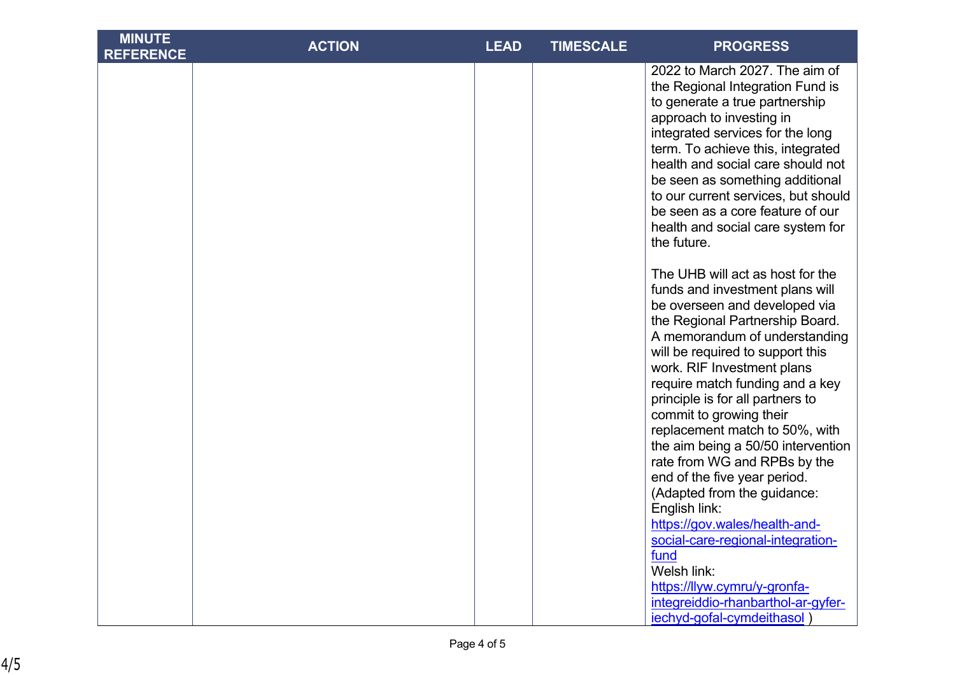| <b>MINUTE</b><br><b>REFERENCE</b> | <b>ACTION</b> | <b>LEAD</b> | <b>TIMESCALE</b> | <b>PROGRESS</b>                                                                                                                                                                                                                                                                                                                                                                                                                                      |
|-----------------------------------|---------------|-------------|------------------|------------------------------------------------------------------------------------------------------------------------------------------------------------------------------------------------------------------------------------------------------------------------------------------------------------------------------------------------------------------------------------------------------------------------------------------------------|
|                                   |               |             |                  | 2022 to March 2027. The aim of<br>the Regional Integration Fund is<br>to generate a true partnership<br>approach to investing in<br>integrated services for the long<br>term. To achieve this, integrated<br>health and social care should not<br>be seen as something additional<br>to our current services, but should<br>be seen as a core feature of our<br>health and social care system for<br>the future.                                     |
|                                   |               |             |                  | The UHB will act as host for the<br>funds and investment plans will<br>be overseen and developed via<br>the Regional Partnership Board.<br>A memorandum of understanding<br>will be required to support this<br>work. RIF Investment plans<br>require match funding and a key<br>principle is for all partners to<br>commit to growing their<br>replacement match to 50%, with<br>the aim being a 50/50 intervention<br>rate from WG and RPBs by the |
|                                   |               |             |                  | end of the five year period.<br>(Adapted from the guidance:<br>English link:<br>https://gov.wales/health-and-<br>social-care-regional-integration-<br>fund<br>Welsh link:<br>https://llyw.cymru/y-gronfa-<br>integreiddio-rhanbarthol-ar-gyfer-<br>iechyd-gofal-cymdeithasol)                                                                                                                                                                        |